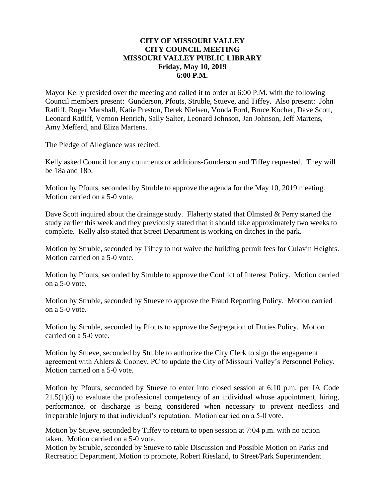# **CITY OF MISSOURI VALLEY CITY COUNCIL MEETING MISSOURI VALLEY PUBLIC LIBRARY Friday, May 10, 2019 6:00 P.M.**

Mayor Kelly presided over the meeting and called it to order at 6:00 P.M. with the following Council members present: Gunderson, Pfouts, Struble, Stueve, and Tiffey. Also present: John Ratliff, Roger Marshall, Katie Preston, Derek Nielsen, Vonda Ford, Bruce Kocher, Dave Scott, Leonard Ratliff, Vernon Henrich, Sally Salter, Leonard Johnson, Jan Johnson, Jeff Martens, Amy Mefferd, and Eliza Martens.

The Pledge of Allegiance was recited.

Kelly asked Council for any comments or additions-Gunderson and Tiffey requested. They will be 18a and 18b.

Motion by Pfouts, seconded by Struble to approve the agenda for the May 10, 2019 meeting. Motion carried on a 5-0 vote.

Dave Scott inquired about the drainage study. Flaherty stated that Olmsted & Perry started the study earlier this week and they previously stated that it should take approximately two weeks to complete. Kelly also stated that Street Department is working on ditches in the park.

Motion by Struble, seconded by Tiffey to not waive the building permit fees for Culavin Heights. Motion carried on a 5-0 vote.

Motion by Pfouts, seconded by Struble to approve the Conflict of Interest Policy. Motion carried on a 5-0 vote.

Motion by Struble, seconded by Stueve to approve the Fraud Reporting Policy. Motion carried on a 5-0 vote.

Motion by Struble, seconded by Pfouts to approve the Segregation of Duties Policy. Motion carried on a 5-0 vote.

Motion by Stueve, seconded by Struble to authorize the City Clerk to sign the engagement agreement with Ahlers & Cooney, PC to update the City of Missouri Valley's Personnel Policy. Motion carried on a 5-0 vote.

Motion by Pfouts, seconded by Stueve to enter into closed session at 6:10 p.m. per IA Code  $21.5(1)(i)$  to evaluate the professional competency of an individual whose appointment, hiring, performance, or discharge is being considered when necessary to prevent needless and irreparable injury to that individual's reputation. Motion carried on a 5-0 vote.

Motion by Stueve, seconded by Tiffey to return to open session at 7:04 p.m. with no action taken. Motion carried on a 5-0 vote.

Motion by Struble, seconded by Stueve to table Discussion and Possible Motion on Parks and Recreation Department, Motion to promote, Robert Riesland, to Street/Park Superintendent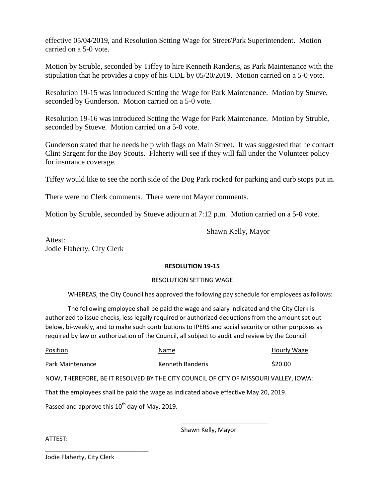effective 05/04/2019, and Resolution Setting Wage for Street/Park Superintendent. Motion carried on a 5-0 vote.

Motion by Struble, seconded by Tiffey to hire Kenneth Randeris, as Park Maintenance with the stipulation that he provides a copy of his CDL by 05/20/2019. Motion carried on a 5-0 vote.

Resolution 19-15 was introduced Setting the Wage for Park Maintenance. Motion by Stueve, seconded by Gunderson. Motion carried on a 5-0 vote.

Resolution 19-16 was introduced Setting the Wage for Park Maintenance. Motion by Struble, seconded by Stueve. Motion carried on a 5-0 vote.

Gunderson stated that he needs help with flags on Main Street. It was suggested that he contact Clint Sargent for the Boy Scouts. Flaherty will see if they will fall under the Volunteer policy for insurance coverage.

Tiffey would like to see the north side of the Dog Park rocked for parking and curb stops put in.

There were no Clerk comments. There were not Mayor comments.

Motion by Struble, seconded by Stueve adjourn at 7:12 p.m. Motion carried on a 5-0 vote.

Shawn Kelly, Mayor

Attest: Jodie Flaherty, City Clerk

# **RESOLUTION 19-15**

### RESOLUTION SETTING WAGE

WHEREAS, the City Council has approved the following pay schedule for employees as follows:

The following employee shall be paid the wage and salary indicated and the City Clerk is authorized to issue checks, less legally required or authorized deductions from the amount set out below, bi-weekly, and to make such contributions to IPERS and social security or other purposes as required by law or authorization of the Council, all subject to audit and review by the Council:

| Position                                                                             | Name                                                                                 | Hourly Wage |  |
|--------------------------------------------------------------------------------------|--------------------------------------------------------------------------------------|-------------|--|
| Park Maintenance                                                                     | Kenneth Randeris                                                                     | \$20.00     |  |
|                                                                                      | NOW, THEREFORE, BE IT RESOLVED BY THE CITY COUNCIL OF CITY OF MISSOURI VALLEY, IOWA: |             |  |
| That the employees shall be paid the wage as indicated above effective May 20, 2019. |                                                                                      |             |  |
| Passed and approve this $10^{th}$ day of May, 2019.                                  |                                                                                      |             |  |
|                                                                                      |                                                                                      |             |  |

Shawn Kelly, Mayor

ATTEST:

Jodie Flaherty, City Clerk

\_\_\_\_\_\_\_\_\_\_\_\_\_\_\_\_\_\_\_\_\_\_\_\_\_\_\_\_\_\_